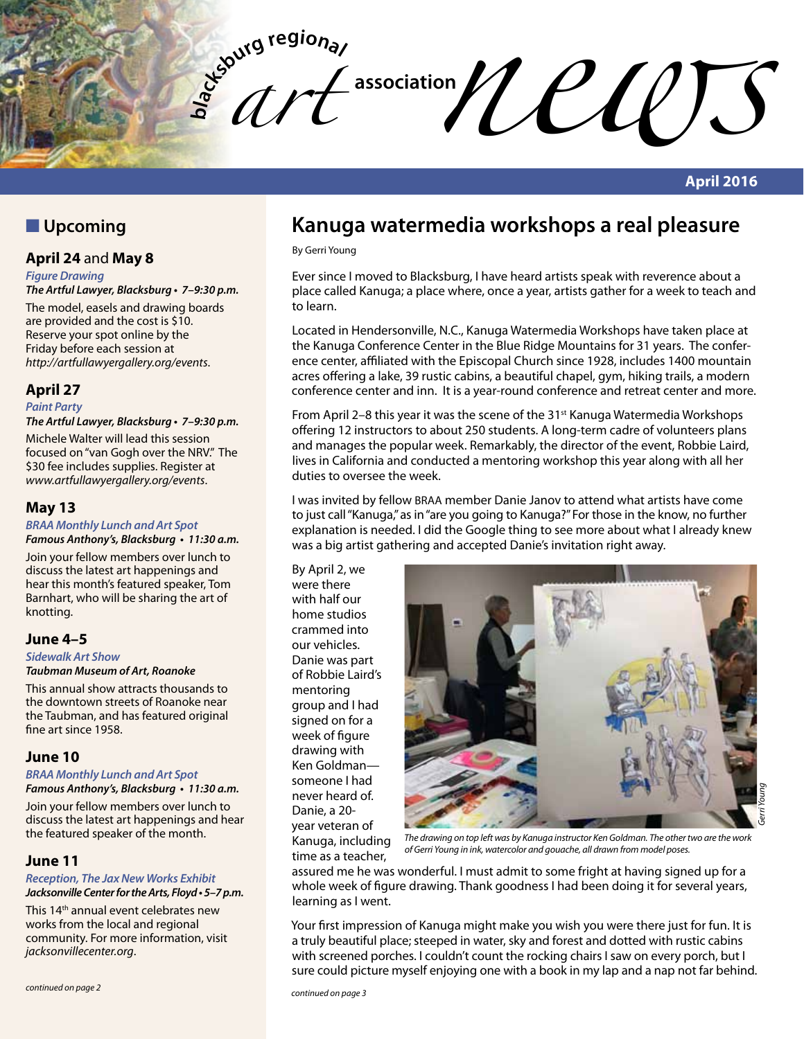**bla** *art*   $\mathcal{U}\ell\ell\mathcal{U}$ 

### **April 2016**

### **N** Upcoming

### **April 24** and **May 8**

*Figure Drawing* **The Artful Lawyer, Blacksburg • 7–9:30 p.m.**

The model, easels and drawing boards are provided and the cost is \$10. Reserve your spot online by the Friday before each session at *http://artfullawyergallery.org/events*.

### **April 27**

*Paint Party*

**The Artful Lawyer, Blacksburg • 7–9:30 p.m.**

Michele Walter will lead this session focused on "van Gogh over the NRV." The \$30 fee includes supplies. Register at *www.artfullawyergallery.org/events*.

### **May 13**

#### **BRAA Monthly Lunch and Art Spot Famous Anthony's, Blacksburg • 11:30 a.m.**

Join your fellow members over lunch to discuss the latest art happenings and hear this month's featured speaker, Tom Barnhart, who will be sharing the art of knotting.

### **June 4–5**

*Sidewalk Art Show*

#### **Taubman Museum of Art, Roanoke**

This annual show attracts thousands to the downtown streets of Roanoke near the Taubman, and has featured original fine art since 1958.

### **June 10**

**BRAA Monthly Lunch and Art Spot Famous Anthony's, Blacksburg • 11:30 a.m.**

Join your fellow members over lunch to discuss the latest art happenings and hear the featured speaker of the month.

### **June 11**

**Reception, The Jax New Works Exhibit Jacksonville Center for the Arts, Floyd • 5–7 p.m.**

This 14<sup>th</sup> annual event celebrates new works from the local and regional community. For more information, visit *jacksonvillecenter.org*.

## **Kanuga watermedia workshops a real pleasure**

By Gerri Young

Ever since I moved to Blacksburg, I have heard artists speak with reverence about a place called Kanuga; a place where, once a year, artists gather for a week to teach and to learn.

Located in Hendersonville, N.C., Kanuga Watermedia Workshops have taken place at the Kanuga Conference Center in the Blue Ridge Mountains for 31 years. The conference center, affiliated with the Episcopal Church since 1928, includes 1400 mountain acres offering a lake, 39 rustic cabins, a beautiful chapel, gym, hiking trails, a modern conference center and inn. It is a year-round conference and retreat center and more.

From April 2–8 this year it was the scene of the 31<sup>st</sup> Kanuga Watermedia Workshops offering 12 instructors to about 250 students. A long-term cadre of volunteers plans and manages the popular week. Remarkably, the director of the event, Robbie Laird, lives in California and conducted a mentoring workshop this year along with all her duties to oversee the week.

I was invited by fellow BRAA member Danie Janov to attend what artists have come to just call "Kanuga," as in "are you going to Kanuga?" For those in the know, no further explanation is needed. I did the Google thing to see more about what I already knew was a big artist gathering and accepted Danie's invitation right away.

By April 2, we were there with half our home studios crammed into our vehicles. Danie was part of Robbie Laird's mentoring group and I had signed on for a week of figure drawing with Ken Goldman someone I had never heard of. Danie, a 20 year veteran of Kanuga, including time as a teacher,



*The drawing on top left was by Kanuga instructor Ken Goldman. The other two are the work of Gerri Young in ink, watercolor and gouache, all drawn from model poses.*

assured me he was wonderful. I must admit to some fright at having signed up for a whole week of figure drawing. Thank goodness I had been doing it for several years, learning as I went.

Your first impression of Kanuga might make you wish you were there just for fun. It is a truly beautiful place; steeped in water, sky and forest and dotted with rustic cabins with screened porches. I couldn't count the rocking chairs I saw on every porch, but I sure could picture myself enjoying one with a book in my lap and a nap not far behind.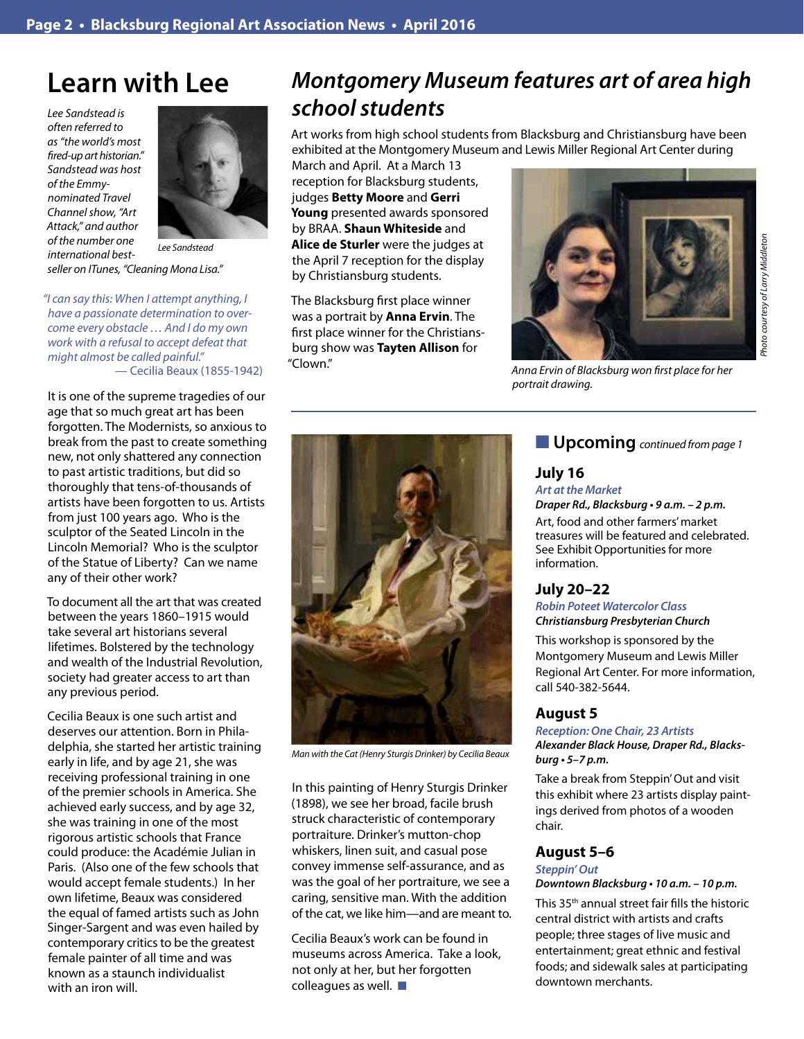# **Learn with Lee**

*Lee Sandstead is often referred to as "the world's most fired-up art historian." Sandstead was host of the Emmynominated Travel Channel show, "Art Attack," and author of the number one international bestseller on ITunes, "Cleaning Mona Lisa."* 



*Lee Sandstead*

*"I can say this: When I attempt anything, I have a passionate determination to overcome every obstacle … And I do my own work with a refusal to accept defeat that might almost be called painful."* — Cecilia Beaux (1855-1942)

It is one of the supreme tragedies of our age that so much great art has been forgotten. The Modernists, so anxious to break from the past to create something new, not only shattered any connection to past artistic traditions, but did so thoroughly that tens-of-thousands of artists have been forgotten to us. Artists from just 100 years ago. Who is the sculptor of the Seated Lincoln in the Lincoln Memorial? Who is the sculptor of the Statue of Liberty? Can we name any of their other work?

To document all the art that was created between the years 1860–1915 would take several art historians several lifetimes. Bolstered by the technology and wealth of the Industrial Revolution, society had greater access to art than any previous period.

Cecilia Beaux is one such artist and deserves our attention. Born in Philadelphia, she started her artistic training early in life, and by age 21, she was receiving professional training in one of the premier schools in America. She achieved early success, and by age 32, she was training in one of the most rigorous artistic schools that France could produce: the Académie Julian in Paris. (Also one of the few schools that would accept female students.) In her own lifetime, Beaux was considered the equal of famed artists such as John Singer-Sargent and was even hailed by contemporary critics to be the greatest female painter of all time and was known as a staunch individualist with an iron will.

# **Montgomery Museum features art of area high**  *school students*

Art works from high school students from Blacksburg and Christiansburg have been exhibited at the Montgomery Museum and Lewis Miller Regional Art Center during

March and April. At a March 13 reception for Blacksburg students, judges **Betty Moore** and **Gerri Young** presented awards sponsored by BRAA. **Shaun Whiteside** and **Alice de Sturler** were the judges at the April 7 reception for the display by Christiansburg students.

The Blacksburg first place winner was a portrait by **Anna Ervin**. The first place winner for the Christiansburg show was **Tayten Allison** for "Clown."



*Anna Ervin of Blacksburg won first place for her portrait drawing.*



*Man with the Cat (Henry Sturgis Drinker) by Cecilia Beaux*

In this painting of Henry Sturgis Drinker (1898), we see her broad, facile brush struck characteristic of contemporary portraiture. Drinker's mutton-chop whiskers, linen suit, and casual pose convey immense self-assurance, and as was the goal of her portraiture, we see a caring, sensitive man. With the addition of the cat, we like him—and are meant to.

Cecilia Beaux's work can be found in museums across America. Take a look, not only at her, but her forgotten colleagues as well.  $\blacksquare$ 

### **n Upcoming** *continued from page 1*

### **July 16**

*Art at the Market*

**Draper Rd., Blacksburg • 9 a.m. – 2 p.m.**

Art, food and other farmers' market treasures will be featured and celebrated. See Exhibit Opportunities for more information.

### **July 20–22**

**Robin Poteet Watercolor Class Christiansburg Presbyterian Church**

This workshop is sponsored by the Montgomery Museum and Lewis Miller Regional Art Center. For more information, call 540-382-5644.

#### **August 5**

**Reception: One Chair, 23 Artists Alexander Black House, Draper Rd., Blacks****burg • 5–7 p.m.**

Take a break from Steppin' Out and visit this exhibit where 23 artists display paintings derived from photos of a wooden chair.

#### **August 5–6 Steppin' Out**

#### **Downtown Blacksburg • 10 a.m. – 10 p.m.**

This 35th annual street fair fills the historic central district with artists and crafts people; three stages of live music and entertainment; great ethnic and festival foods; and sidewalk sales at participating downtown merchants.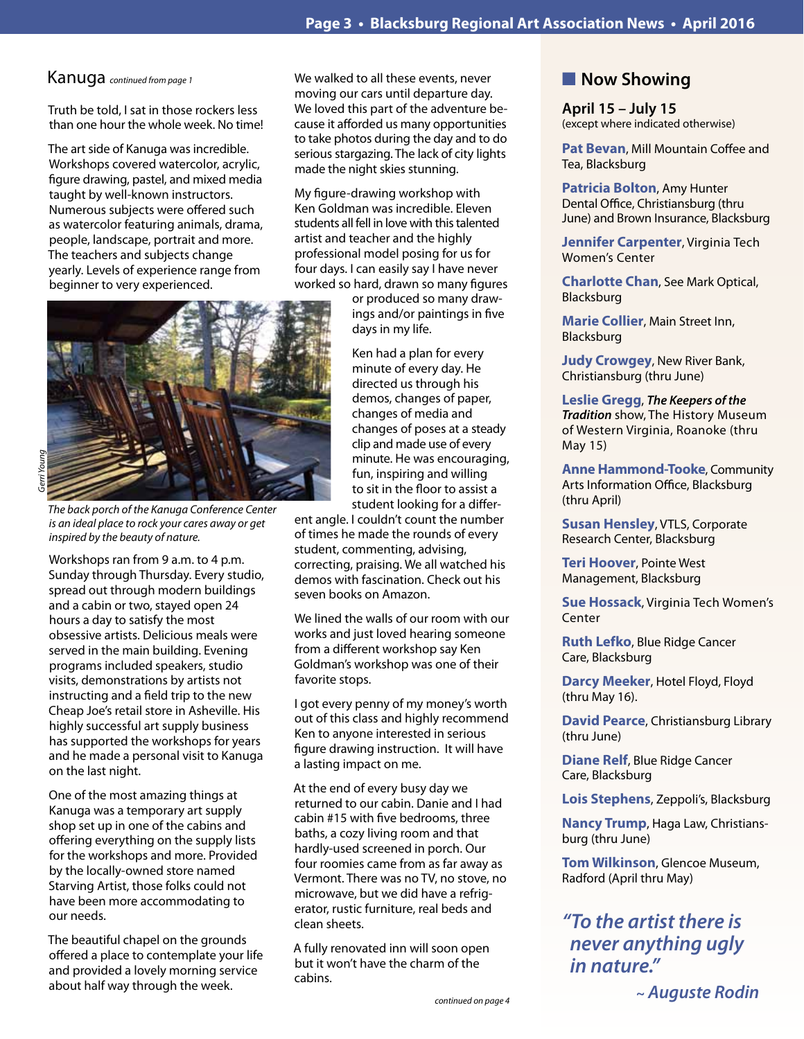### Kanuga *continued from page 1*

Truth be told, I sat in those rockers less than one hour the whole week. No time!

The art side of Kanuga was incredible. Workshops covered watercolor, acrylic, figure drawing, pastel, and mixed media taught by well-known instructors. Numerous subjects were offered such as watercolor featuring animals, drama, people, landscape, portrait and more. The teachers and subjects change yearly. Levels of experience range from beginner to very experienced.



*The back porch of the Kanuga Conference Center is an ideal place to rock your cares away or get inspired by the beauty of nature.*

Workshops ran from 9 a.m. to 4 p.m. Sunday through Thursday. Every studio, spread out through modern buildings and a cabin or two, stayed open 24 hours a day to satisfy the most obsessive artists. Delicious meals were served in the main building. Evening programs included speakers, studio visits, demonstrations by artists not instructing and a field trip to the new Cheap Joe's retail store in Asheville. His highly successful art supply business has supported the workshops for years and he made a personal visit to Kanuga on the last night.

One of the most amazing things at Kanuga was a temporary art supply shop set up in one of the cabins and offering everything on the supply lists for the workshops and more. Provided by the locally-owned store named Starving Artist, those folks could not have been more accommodating to our needs.

The beautiful chapel on the grounds offered a place to contemplate your life and provided a lovely morning service about half way through the week.

We walked to all these events, never moving our cars until departure day. We loved this part of the adventure because it afforded us many opportunities to take photos during the day and to do serious stargazing. The lack of city lights made the night skies stunning.

My figure-drawing workshop with Ken Goldman was incredible. Eleven students all fell in love with this talented artist and teacher and the highly professional model posing for us for four days. I can easily say I have never worked so hard, drawn so many figures

> or produced so many drawings and/or paintings in five days in my life.

Ken had a plan for every minute of every day. He directed us through his demos, changes of paper, changes of media and changes of poses at a steady clip and made use of every minute. He was encouraging, fun, inspiring and willing to sit in the floor to assist a student looking for a differ-

ent angle. I couldn't count the number of times he made the rounds of every student, commenting, advising, correcting, praising. We all watched his demos with fascination. Check out his seven books on Amazon.

We lined the walls of our room with our works and just loved hearing someone from a different workshop say Ken Goldman's workshop was one of their favorite stops.

I got every penny of my money's worth out of this class and highly recommend Ken to anyone interested in serious figure drawing instruction. It will have a lasting impact on me.

At the end of every busy day we returned to our cabin. Danie and I had cabin #15 with five bedrooms, three baths, a cozy living room and that hardly-used screened in porch. Our four roomies came from as far away as Vermont. There was no TV, no stove, no microwave, but we did have a refrigerator, rustic furniture, real beds and clean sheets.

A fully renovated inn will soon open but it won't have the charm of the cabins.

### **Now Showing**

**April 15 – July 15** (except where indicated otherwise)

**Pat Bevan**, Mill Mountain Coffee and Tea, Blacksburg

**Patricia Bolton**, Amy Hunter Dental Office, Christiansburg (thru June) and Brown Insurance, Blacksburg

**Jennifer Carpenter**, Virginia Tech Women's Center

**Charlotte Chan**, See Mark Optical, **Blacksburg** 

**Marie Collier**, Main Street Inn, Blacksburg

**Judy Crowgey**, New River Bank, Christiansburg (thru June)

**Leslie Gregg**, **The Keepers of the**  *Tradition* show, The History Museum of Western Virginia, Roanoke (thru May 15)

**Anne Hammond-Tooke**, Community Arts Information Office, Blacksburg (thru April)

**Susan Hensley**, VTLS, Corporate Research Center, Blacksburg

**Teri Hoover**, Pointe West Management, Blacksburg

**Sue Hossack**, Virginia Tech Women's Center

**Ruth Lefko**, Blue Ridge Cancer Care, Blacksburg

**Darcy Meeker**, Hotel Floyd, Floyd (thru May 16).

**David Pearce**, Christiansburg Library (thru June)

**Diane Relf**, Blue Ridge Cancer Care, Blacksburg

**Lois Stephens**, Zeppoli's, Blacksburg

**Nancy Trump**, Haga Law, Christiansburg (thru June)

**Tom Wilkinson**, Glencoe Museum, Radford (April thru May)

*"To the artist there is*  **never anything ugly in nature."** 

 *~ Auguste Rodin*